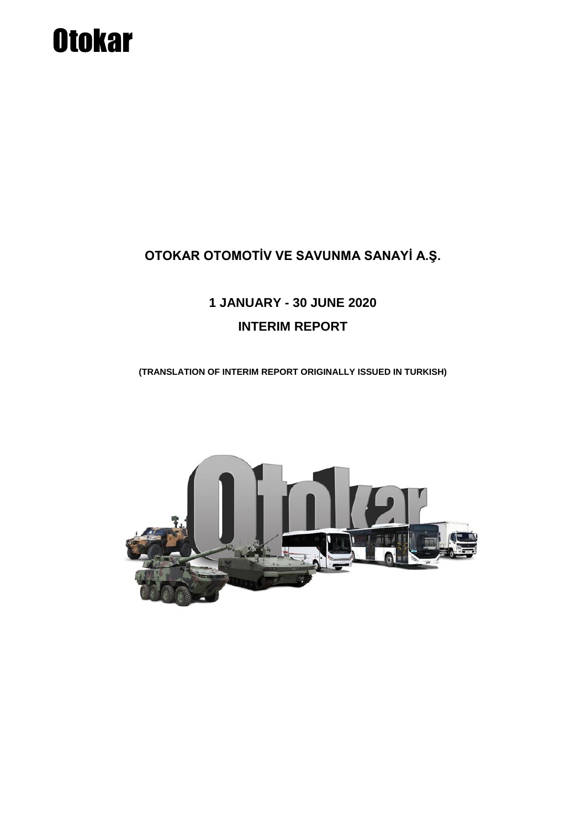# **Otokar**

### **OTOKAR OTOMOTİV VE SAVUNMA SANAYİ A.Ş.**

## **1 JANUARY - 30 JUNE 2020 INTERIM REPORT**

**(TRANSLATION OF INTERIM REPORT ORIGINALLY ISSUED IN TURKISH)**

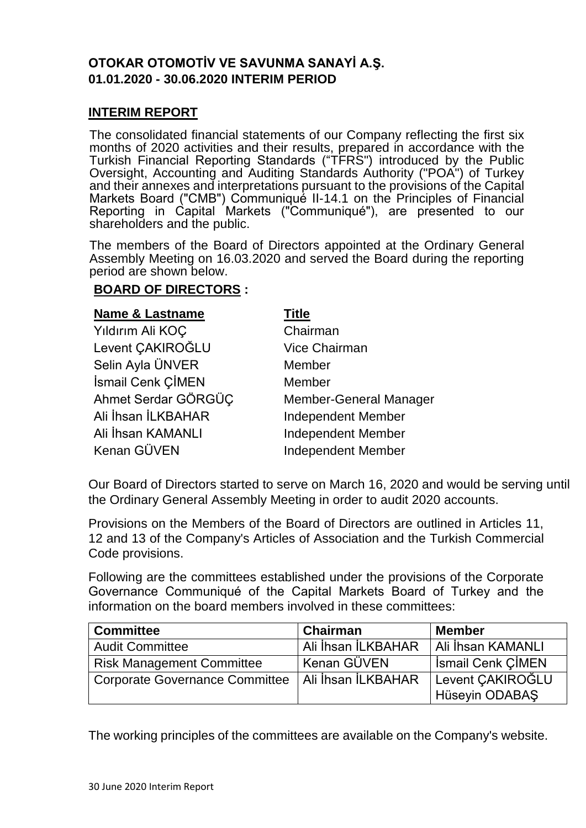#### **OTOKAR OTOMOTİV VE SAVUNMA SANAYİ A.Ş. 01.01.2020 - 30.06.2020 INTERIM PERIOD**

#### **INTERIM REPORT**

The consolidated financial statements of our Company reflecting the first six months of 2020 activities and their results, prepared in accordance with the Turkish Financial Reporting Standards ("TFRS") introduced by the Public Oversight, Accounting and Auditing Standards Authority ("POA") of Turkey and their annexes and interpretations pursuant to the provisions of the Capital Markets Board ("CMB") Communiqué II-14.1 on the Principles of Financial Reporting in Capital Markets ("Communiqué"), are presented to our shareholders and the public.

The members of the Board of Directors appointed at the Ordinary General Assembly Meeting on 16.03.2020 and served the Board during the reporting period are shown below.

#### **BOARD OF DIRECTORS :**

| <b>Name &amp; Lastname</b> | <b>Title</b>                  |
|----------------------------|-------------------------------|
| Yıldırım Ali KOÇ           | Chairman                      |
| Levent CAKIROĞLU           | <b>Vice Chairman</b>          |
| Selin Ayla ÜNVER           | Member                        |
| İsmail Cenk ÇİMEN          | Member                        |
| Ahmet Serdar GÖRGÜÇ        | <b>Member-General Manager</b> |
| Ali İhsan İLKBAHAR         | <b>Independent Member</b>     |
| Ali İhsan KAMANLI          | <b>Independent Member</b>     |
| Kenan GÜVEN                | <b>Independent Member</b>     |

Our Board of Directors started to serve on March 16, 2020 and would be serving until the Ordinary General Assembly Meeting in order to audit 2020 accounts.

Provisions on the Members of the Board of Directors are outlined in Articles 11, 12 and 13 of the Company's Articles of Association and the Turkish Commercial Code provisions.

Following are the committees established under the provisions of the Corporate Governance Communiqué of the Capital Markets Board of Turkey and the information on the board members involved in these committees:

| <b>Committee</b>                                    | Chairman           | <b>Member</b>            |
|-----------------------------------------------------|--------------------|--------------------------|
| <b>Audit Committee</b>                              | Ali İhsan İLKBAHAR | Ali İhsan KAMANLI        |
| <b>Risk Management Committee</b>                    | Kenan GÜVEN        | <b>Ismail Cenk CIMEN</b> |
| Corporate Governance Committee   Ali İhsan İLKBAHAR |                    | Levent CAKIROĞLU         |
|                                                     |                    | Hüseyin ODABAŞ           |

The working principles of the committees are available on the Company's website.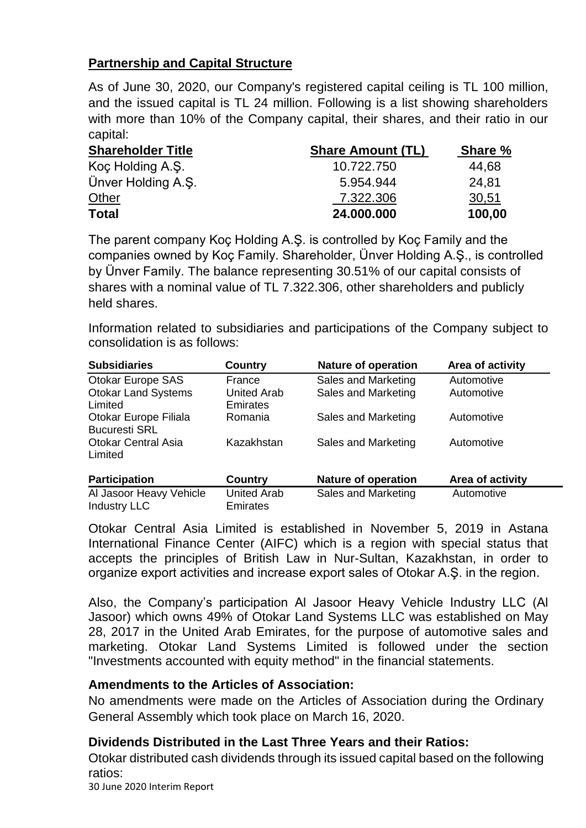#### **Partnership and Capital Structure**

As of June 30, 2020, our Company's registered capital ceiling is TL 100 million, and the issued capital is TL 24 million. Following is a list showing shareholders with more than 10% of the Company capital, their shares, and their ratio in our capital:

| <b>Shareholder Title</b> | <b>Share Amount (TL)</b> | Share % |
|--------------------------|--------------------------|---------|
| Koç Holding A.Ş.         | 10.722.750               | 44,68   |
| Ünver Holding A.S.       | 5.954.944                | 24.81   |
| Other                    | 7.322.306                | 30,51   |
| <b>Total</b>             | 24,000,000               | 100,00  |

The parent company Koç Holding A.Ş. is controlled by Koç Family and the companies owned by Koç Family. Shareholder, Ünver Holding A.Ş., is controlled by Ünver Family. The balance representing 30.51% of our capital consists of shares with a nominal value of TL 7.322.306, other shareholders and publicly held shares.

Information related to subsidiaries and participations of the Company subject to consolidation is as follows:

| <b>Subsidiaries</b>                            | Country                               | <b>Nature of operation</b> | Area of activity |
|------------------------------------------------|---------------------------------------|----------------------------|------------------|
| Otokar Europe SAS                              | France                                | Sales and Marketing        | Automotive       |
| <b>Otokar Land Systems</b><br>Limited          | <b>United Arab</b><br><b>Emirates</b> | Sales and Marketing        | Automotive       |
| Otokar Europe Filiala<br><b>Bucuresti SRL</b>  | Romania                               | Sales and Marketing        | Automotive       |
| <b>Otokar Central Asia</b><br>Limited          | Kazakhstan                            | Sales and Marketing        | Automotive       |
| <b>Participation</b>                           | <b>Country</b>                        | <b>Nature of operation</b> | Area of activity |
| Al Jasoor Heavy Vehicle<br><b>Industry LLC</b> | <b>United Arab</b><br>Emirates        | Sales and Marketing        | Automotive       |

Otokar Central Asia Limited is established in November 5, 2019 in Astana International Finance Center (AIFC) which is a region with special status that accepts the principles of British Law in Nur-Sultan, Kazakhstan, in order to organize export activities and increase export sales of Otokar A.Ş. in the region.

Also, the Company's participation Al Jasoor Heavy Vehicle Industry LLC (Al Jasoor) which owns 49% of Otokar Land Systems LLC was established on May 28, 2017 in the United Arab Emirates, for the purpose of automotive sales and marketing. Otokar Land Systems Limited is followed under the section "Investments accounted with equity method" in the financial statements.

#### **Amendments to the Articles of Association:**

No amendments were made on the Articles of Association during the Ordinary General Assembly which took place on March 16, 2020.

#### **Dividends Distributed in the Last Three Years and their Ratios:**

Otokar distributed cash dividends through its issued capital based on the following ratios:

30 June 2020 Interim Report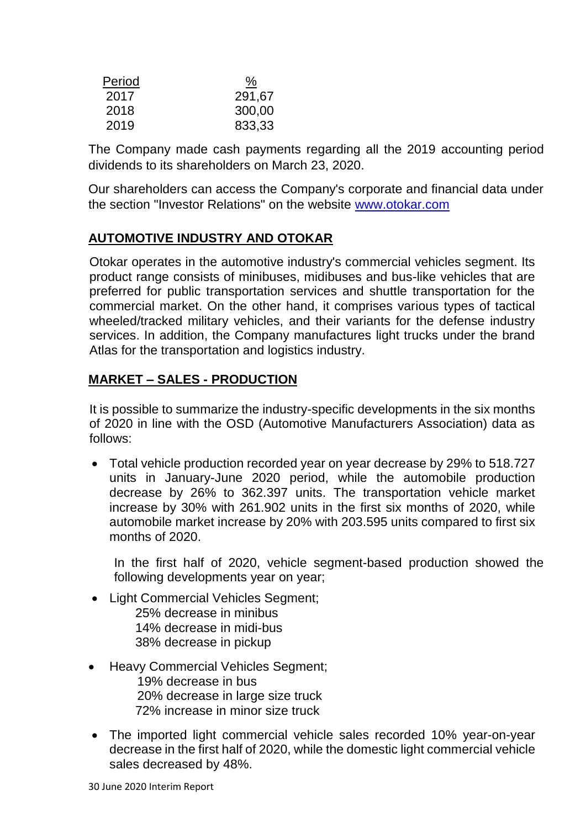| Period | <u>%</u> |
|--------|----------|
| 2017   | 291,67   |
| 2018   | 300,00   |
| 2019   | 833,33   |

The Company made cash payments regarding all the 2019 accounting period dividends to its shareholders on March 23, 2020.

Our shareholders can access the Company's corporate and financial data under the section "Investor Relations" on the website [www.otokar.com](http://www.otokar.com/)

#### **AUTOMOTIVE INDUSTRY AND OTOKAR**

Otokar operates in the automotive industry's commercial vehicles segment. Its product range consists of minibuses, midibuses and bus-like vehicles that are preferred for public transportation services and shuttle transportation for the commercial market. On the other hand, it comprises various types of tactical wheeled/tracked military vehicles, and their variants for the defense industry services. In addition, the Company manufactures light trucks under the brand Atlas for the transportation and logistics industry.

#### **MARKET – SALES - PRODUCTION**

It is possible to summarize the industry-specific developments in the six months of 2020 in line with the OSD (Automotive Manufacturers Association) data as follows:

 Total vehicle production recorded year on year decrease by 29% to 518.727 units in January-June 2020 period, while the automobile production decrease by 26% to 362.397 units. The transportation vehicle market increase by 30% with 261.902 units in the first six months of 2020, while automobile market increase by 20% with 203.595 units compared to first six months of 2020.

In the first half of 2020, vehicle segment-based production showed the following developments year on year;

- Light Commercial Vehicles Segment: 25% decrease in minibus 14% decrease in midi-bus 38% decrease in pickup
- Heavy Commercial Vehicles Segment; 19% decrease in bus 20% decrease in large size truck 72% increase in minor size truck
- The imported light commercial vehicle sales recorded 10% year-on-year decrease in the first half of 2020, while the domestic light commercial vehicle sales decreased by 48%.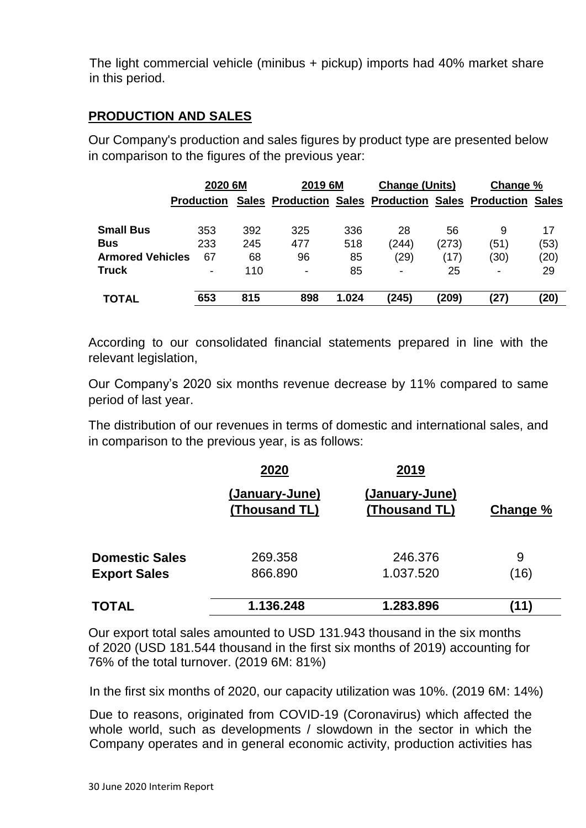The light commercial vehicle (minibus + pickup) imports had 40% market share in this period.

#### **PRODUCTION AND SALES**

Our Company's production and sales figures by product type are presented below in comparison to the figures of the previous year:

|                         | 2020 6M                  |              | 2019 6M                  |       | <b>Change (Units)</b>    |       | Change %                                                  |      |
|-------------------------|--------------------------|--------------|--------------------------|-------|--------------------------|-------|-----------------------------------------------------------|------|
|                         | <b>Production</b>        | <b>Sales</b> |                          |       |                          |       | <b>Production Sales Production Sales Production Sales</b> |      |
| <b>Small Bus</b>        | 353                      | 392          | 325                      | 336   | 28                       | 56    | 9                                                         | 17   |
| <b>Bus</b>              | 233                      | 245          | 477                      | 518   | (244)                    | (273) | (51)                                                      | (53) |
| <b>Armored Vehicles</b> | 67                       | 68           | 96                       | 85    | (29)                     | (17)  | (30)                                                      | (20) |
| <b>Truck</b>            | $\overline{\phantom{a}}$ | 110          | $\overline{\phantom{0}}$ | 85    | $\overline{\phantom{a}}$ | 25    | -                                                         | 29   |
| <b>TOTAL</b>            | 653                      | 815          | 898                      | 1.024 | (245)                    | (209) | (27)                                                      | (20) |

According to our consolidated financial statements prepared in line with the relevant legislation,

Our Company's 2020 six months revenue decrease by 11% compared to same period of last year.

The distribution of our revenues in terms of domestic and international sales, and in comparison to the previous year, is as follows:

|                       | 2020                            | 2019                            |          |
|-----------------------|---------------------------------|---------------------------------|----------|
|                       | (January-June)<br>(Thousand TL) | (January-June)<br>(Thousand TL) | Change % |
| <b>Domestic Sales</b> | 269,358                         | 246.376                         | 9        |
| <b>Export Sales</b>   | 866.890                         | 1.037.520                       | (16)     |
| <b>TOTAL</b>          | 1.136.248                       | 1.283.896                       | (11)     |

Our export total sales amounted to USD 131.943 thousand in the six months of 2020 (USD 181.544 thousand in the first six months of 2019) accounting for 76% of the total turnover. (2019 6M: 81%)

In the first six months of 2020, our capacity utilization was 10%. (2019 6M: 14%)

Due to reasons, originated from COVID-19 (Coronavirus) which affected the whole world, such as developments / slowdown in the sector in which the Company operates and in general economic activity, production activities has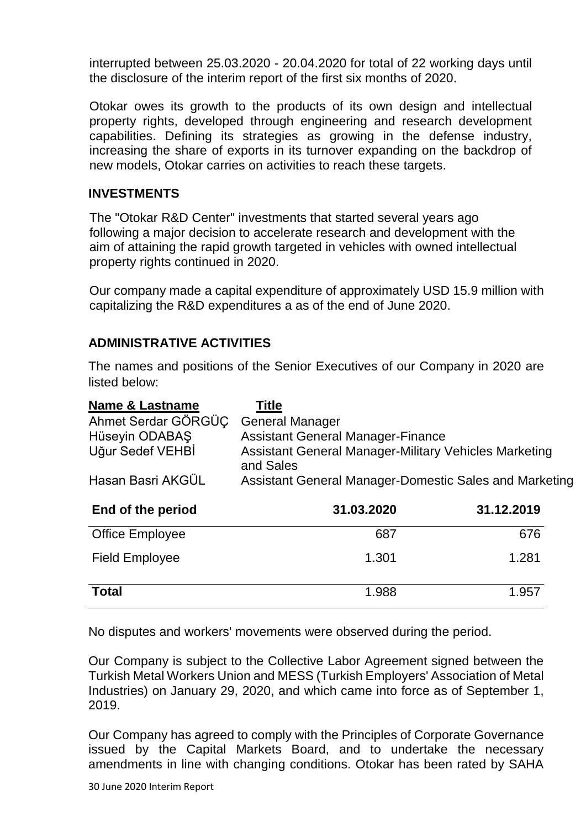interrupted between 25.03.2020 - 20.04.2020 for total of 22 working days until the disclosure of the interim report of the first six months of 2020.

Otokar owes its growth to the products of its own design and intellectual property rights, developed through engineering and research development capabilities. Defining its strategies as growing in the defense industry, increasing the share of exports in its turnover expanding on the backdrop of new models, Otokar carries on activities to reach these targets.

#### **INVESTMENTS**

The "Otokar R&D Center" investments that started several years ago following a major decision to accelerate research and development with the aim of attaining the rapid growth targeted in vehicles with owned intellectual property rights continued in 2020.

Our company made a capital expenditure of approximately USD 15.9 million with capitalizing the R&D expenditures a as of the end of June 2020.

#### **ADMINISTRATIVE ACTIVITIES**

The names and positions of the Senior Executives of our Company in 2020 are listed below:

| <b>Name &amp; Lastname</b> | <b>Title</b>                                                       |            |  |  |
|----------------------------|--------------------------------------------------------------------|------------|--|--|
| Ahmet Serdar GÖRGÜÇ        | <b>General Manager</b>                                             |            |  |  |
| Hüseyin ODABAŞ             | <b>Assistant General Manager-Finance</b>                           |            |  |  |
| Uğur Sedef VEHBİ           | Assistant General Manager-Military Vehicles Marketing<br>and Sales |            |  |  |
| Hasan Basri AKGÜL          | Assistant General Manager-Domestic Sales and Marketing             |            |  |  |
| End of the period          | 31.03.2020                                                         | 31.12.2019 |  |  |
| <b>Office Employee</b>     | 687                                                                | 676        |  |  |
| <b>Field Employee</b>      | 1.301                                                              | 1.281      |  |  |
| <b>Total</b>               | 1.988                                                              | 1.957      |  |  |

No disputes and workers' movements were observed during the period.

Our Company is subject to the Collective Labor Agreement signed between the Turkish Metal Workers Union and MESS (Turkish Employers' Association of Metal Industries) on January 29, 2020, and which came into force as of September 1, 2019.

Our Company has agreed to comply with the Principles of Corporate Governance issued by the Capital Markets Board, and to undertake the necessary amendments in line with changing conditions. Otokar has been rated by SAHA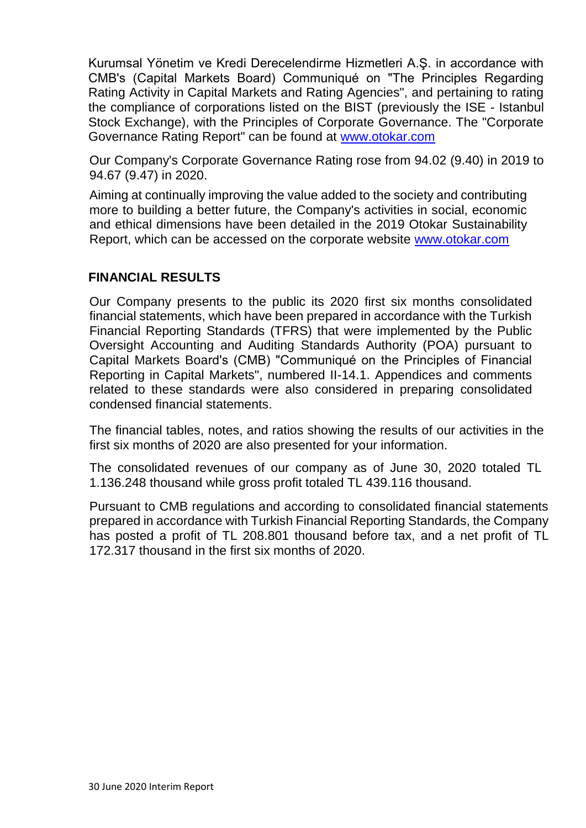Kurumsal Yönetim ve Kredi Derecelendirme Hizmetleri A.Ş. in accordance with CMB's (Capital Markets Board) Communiqué on "The Principles Regarding Rating Activity in Capital Markets and Rating Agencies", and pertaining to rating the compliance of corporations listed on the BIST (previously the ISE - Istanbul Stock Exchange), with the Principles of Corporate Governance. The "Corporate Governance Rating Report" can be found at [www.otokar.com](http://www.otokar.com/)

Our Company's Corporate Governance Rating rose from 94.02 (9.40) in 2019 to 94.67 (9.47) in 2020.

Aiming at continually improving the value added to the society and contributing more to building a better future, the Company's activities in social, economic and ethical dimensions have been detailed in the 2019 Otokar Sustainability Report, which can be accessed on the corporate website [www.otokar.com](http://www.otokar.com/)

#### **FINANCIAL RESULTS**

Our Company presents to the public its 2020 first six months consolidated financial statements, which have been prepared in accordance with the Turkish Financial Reporting Standards (TFRS) that were implemented by the Public Oversight Accounting and Auditing Standards Authority (POA) pursuant to Capital Markets Board's (CMB) "Communiqué on the Principles of Financial Reporting in Capital Markets", numbered II-14.1. Appendices and comments related to these standards were also considered in preparing consolidated condensed financial statements.

The financial tables, notes, and ratios showing the results of our activities in the first six months of 2020 are also presented for your information.

The consolidated revenues of our company as of June 30, 2020 totaled TL 1.136.248 thousand while gross profit totaled TL 439.116 thousand.

Pursuant to CMB regulations and according to consolidated financial statements prepared in accordance with Turkish Financial Reporting Standards, the Company has posted a profit of TL 208.801 thousand before tax, and a net profit of TL 172.317 thousand in the first six months of 2020.